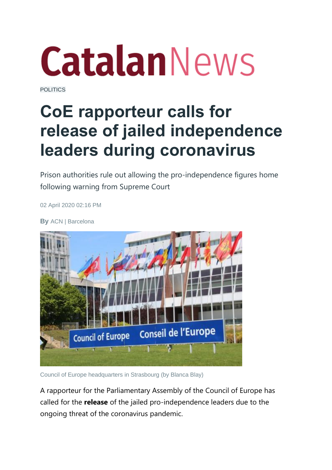## **CatalanNews**

[POLITICS](https://www.catalannews.com/politics)

## **CoE rapporteur calls for release of jailed independence leaders during coronavirus**

Prison authorities rule out allowing the pro-independence figures home following warning from Supreme Court

02 April 2020 02:16 PM

**By** ACN | Barcelona



Council of Europe headquarters in Strasbourg (by Blanca Blay)

A rapporteur for the Parliamentary Assembly of the Council of Europe has called for the **release** of the jailed pro-independence leaders due to the ongoing threat of the coronavirus pandemic.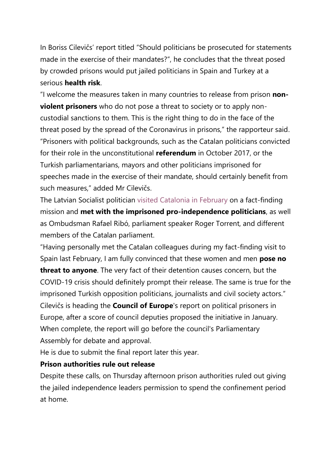In Boriss Cilevičs' report titled "Should politicians be prosecuted for statements made in the exercise of their mandates?", he concludes that the threat posed by crowded prisons would put jailed politicians in Spain and Turkey at a serious **health risk**.

"I welcome the measures taken in many countries to release from prison **nonviolent prisoners** who do not pose a threat to society or to apply noncustodial sanctions to them. This is the right thing to do in the face of the threat posed by the spread of the Coronavirus in prisons," the rapporteur said. "Prisoners with political backgrounds, such as the Catalan politicians convicted for their role in the unconstitutional **referendum** in October 2017, or the Turkish parliamentarians, mayors and other politicians imprisoned for speeches made in the exercise of their mandate, should certainly benefit from such measures," added Mr Cilevičs.

The Latvian Socialist politician [visited Catalonia in February](https://www.catalannews.com/politics/item/council-of-europe-official-visits-jailed-independence-leaders-and-catalan-parliament) on a fact-finding mission and **met with the imprisoned pro-independence politicians**, as well as Ombudsman Rafael Ribó, parliament speaker Roger Torrent, and different members of the Catalan parliament.

"Having personally met the Catalan colleagues during my fact-finding visit to Spain last February, I am fully convinced that these women and men **pose no threat to anyone**. The very fact of their detention causes concern, but the COVID-19 crisis should definitely prompt their release. The same is true for the imprisoned Turkish opposition politicians, journalists and civil society actors." Cilevičs is heading the **Council of Europe**'s report on political prisoners in Europe, after a score of council deputies proposed the initiative in January. When complete, the report will go before the council's Parliamentary Assembly for debate and approval.

He is due to submit the final report later this year.

## **Prison authorities rule out release**

Despite these calls, on Thursday afternoon prison authorities ruled out giving the jailed independence leaders permission to spend the confinement period at home.